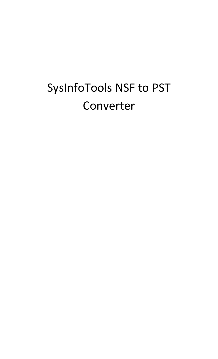# SysInfoTools NSF to PST Converter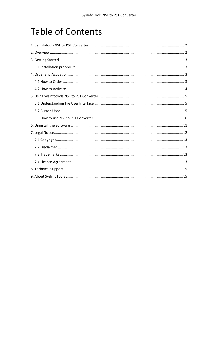# **Table of Contents**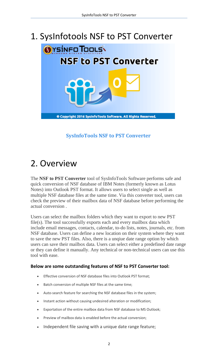### <span id="page-2-0"></span>1. SysInfotools NSF to PST Converter



#### **SysInfoTools NSF to PST Converter**

## <span id="page-2-1"></span>2. Overview

The **NSF to PST Converter** tool of SysInfoTools Software performs safe and quick conversion of NSF database of IBM Notes (formerly known as Lotus Notes) into Outlook PST format. It allows users to select single as well as multiple NSF database files at the same time. Via this converter tool, users can check the preview of their mailbox data of NSF database before performing the actual conversion .

Users can select the mailbox folders which they want to export to new PST file(s). The tool successfully exports each and every mailbox data which include email messages, contacts, calendar, to-do lists, notes, journals, etc. from NSF database. Users can define a new location on their system where they want to save the new PST files. Also, there is a unqiue date range option by which users can save their mailbox data. Users can select either a predefined date range or they can define it manually. Any technical or non-technical users can use this tool with ease.

#### **Below are some outstanding features of NSF to PST Converter tool:**

- Effective conversion of NSF database files into Outlook PST format;
- Batch conversion of multiple NSF files at the same time;
- Auto-search feature for searching the NSF database files in the system;
- Instant action without causing undesired alteration or modification;
- Exportation of the entire mailbox data from NSF database to MS Outlook;
- Preview of mailbox data is enabled before the actual conversion;
- Independent file saving with a unique date range feature;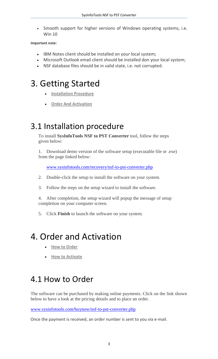Smooth support for higher versions of Windows operating systems, i.e. Win 10

#### **Important note:**

- IBM Notes client should be installed on your local system;
- Microsoft Outlook email client should be installed don your local system;
- NSF database files should be in valid state, i.e. not corrupted.

### <span id="page-3-0"></span>3. Getting Started

- **[Installation Procedure](#page-3-1)**
- **[Order And Activation](#page-3-2)**

#### <span id="page-3-1"></span>3.1 Installation procedure

To install **SysInfoTools NSF to PST Converter** tool, follow the steps given below:

1. Download demo version of the software setup (executable file or .exe) from the page linked below:

[www.sysinfotools.com/recovery/nsf-to-pst-converter.php](http://www.sysinfotools.com/recovery/nsf-to-pst-converter.php)

- 2. Double-click the setup to install the software on your system.
- 3. Follow the steps on the setup wizard to install the software.

4. After completion, the setup wizard will popup the message of setup completion on your computer screen.

5. Click **Finish** to launch the software on your system.

### <span id="page-3-2"></span>4. Order and Activation

- **[How to Order](#page-3-3)**
- **•** [How to Activate](#page-4-0)

#### <span id="page-3-3"></span>4.1 How to Order

The software can be purchased by making online payments. Click on the link shown below to have a look at the pricing details and to place an order.

[www.sysinfotools.com/buynow/nsf-to-pst-converter.php](http://www.sysinfotools.com/buynow/nsf-to-pst-converter.php)

Once the payment is received, an order number is sent to you via e-mail.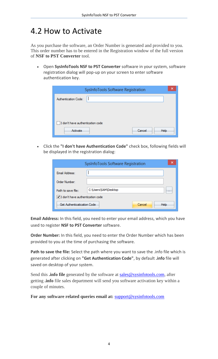#### <span id="page-4-0"></span>4.2 How to Activate

As you purchase the software, an Order Number is generated and provided to you. This order number has to be entered in the Registration window of the full version of **NSF to PST Converter** tool.

 Open **SysInfoTools NSF to PST Converter** software in your system, software registration dialog will pop-up on your screen to enter software authentication key.

| SysInfoTools Software Registration | × |
|------------------------------------|---|
| Authentication Code:               |   |
|                                    |   |
|                                    |   |
| I don't have authentication code   |   |
| Activate<br>Cancel<br><b>Help</b>  |   |

 Click the **"I don't have Authentication Code"** check box, following fields will be displayed in the registration dialog:

|                                  | SysInfoTools Software Registration | × |
|----------------------------------|------------------------------------|---|
| Email Address:                   |                                    |   |
| Order Number:                    |                                    |   |
| Path to save file:               | C:\Users\SAM\Desktop<br>$\cdots$   |   |
| I don't have authentication code |                                    |   |
| Get Authenticatication Code      | Cancel<br>Help                     |   |

**Email Address:** In this field, you need to enter your email address, which you have used to register **NSF to PST Converter** software.

**Order Number:** In this field, you need to enter the Order Number which has been provided to you at the time of purchasing the software.

**Path to save the file:** Select the path where you want to save the .info file which is generated after clicking on **"Get Authentication Code"**, by default **.info** file will saved on desktop of your system.

Send this **.info file** generated by the software at [sales@sysinfotools.com,](mailto:sales@sysinfotools.com) after getting **.info** file sales department will send you software activation key within a couple of minutes.

**For any software related queries email at:** [support@sysinfotools.com](mailto:support@sysinfotools.com)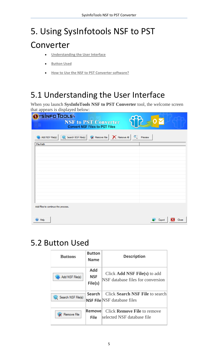# <span id="page-5-0"></span>5. Using SysInfotools NSF to PST

### Converter

- **[Understanding the User Interface](#page-5-1)**
- **[Button Used](#page-5-2)**
- **How to Use the [NSF to PST Converter software?](#page-6-0)**

### <span id="page-5-1"></span>5.1 Understanding the User Interface

When you launch **SysInfoTools NSF to PST Converter** tool, the welcome screen that appears is displayed below:

| $\mu$ appears to display or below.                                                                      |                 |
|---------------------------------------------------------------------------------------------------------|-----------------|
| <b>YSÍNFO TOOLS\</b><br><b>NSF to PST Converter</b><br><b>Convert NSF Files to PST Files</b>            |                 |
| <b>X</b> Remove File   X Remove All   Q<br>Add NSF File(s)<br><b>We</b> Search NSF File(s)<br>File Path | Preview         |
|                                                                                                         |                 |
|                                                                                                         |                 |
|                                                                                                         |                 |
|                                                                                                         |                 |
| Add files to continue the process.                                                                      |                 |
| $\bullet$ Help                                                                                          | Export<br>Close |

#### <span id="page-5-2"></span>5.2 Button Used

| <b>Buttons</b>     | <b>Button</b><br><b>Name</b>        | <b>Description</b>                                                    |
|--------------------|-------------------------------------|-----------------------------------------------------------------------|
| Add NSF File(s)    | <b>Add</b><br><b>NSF</b><br>File(s) | Click Add NSF File(s) to add<br>NSF database files for conversion     |
| Search NSF File(s) | <b>Search</b>                       | Click Search NSF File to search<br><b>NSF File NSF</b> database files |
| Remove File        | Removel<br>File l                   | Click <b>Remove File</b> to remove<br>selected NSF database file      |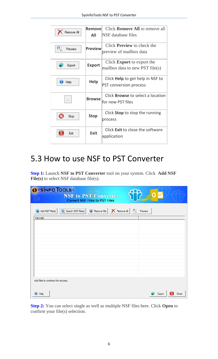| Remove All | Removel<br>All | Click <b>Remove All</b> to remove all<br>NSF database files              |
|------------|----------------|--------------------------------------------------------------------------|
| Preview    | <b>Preview</b> | Click <b>Preview</b> to check the<br>preview of mailbox data             |
| Export     | <b>Export</b>  | Click <b>Export</b> to export the<br>mailbox data to new PST file $(s)$  |
| Help       | <b>Help</b>    | Click <b>Help</b> to get help in NSF to<br><b>PST conversion process</b> |
|            | <b>Browse</b>  | Click <b>Browse</b> to select a location<br>for new PST files            |
| Stop       | <b>Stop</b>    | Click <b>Stop</b> to stop the running<br>process                         |
| Exit       | <b>Exit</b>    | Click Exit to close the software<br>application                          |

#### <span id="page-6-0"></span>5.3 How to use NSF to PST Converter

**Step 1:** Launch **NSF to PST Converter** tool on your system. Click **Add NSF File(s)** to select NSF database file(s).

| <b>YSINFO TOOLS</b><br><b>NSF to PST Converter</b><br><b>Convert NSF Files to PST Files</b>   |                 |
|-----------------------------------------------------------------------------------------------|-----------------|
| <b>ix</b> Remove File   X Remove All<br>$\mathbf{R}$<br>Add NSF File(s)<br>Search NSF File(s) | Preview         |
| File Path                                                                                     |                 |
|                                                                                               |                 |
|                                                                                               |                 |
|                                                                                               |                 |
|                                                                                               |                 |
|                                                                                               |                 |
|                                                                                               |                 |
| Add files to continue the process.                                                            |                 |
| <b>B</b> Help                                                                                 | Export<br>Close |

**Step 2:** You can select single as well as multiple NSF files here. Click **Open** to confirm your file(s) selection.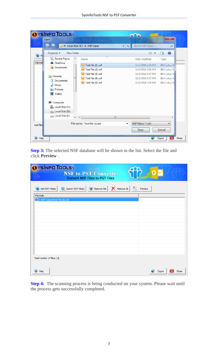| <b>YSÍNFOTOOLS\</b>           |            |                               |                                     |                      |
|-------------------------------|------------|-------------------------------|-------------------------------------|----------------------|
| Open                          |            |                               |                                     | $\mathbf{x}$         |
|                               |            | « Local Disk (D:) > NSF Cases | Search NSF Cases<br>$\mathbf{v}$ +4 | م                    |
| Organize $\blacktriangledown$ | New folder |                               | 胆 ▼                                 | 0                    |
| Recent Places<br>File Pat     | ┻          | ×<br>Name                     | Date modified                       | <b>Type</b>          |
| <b>&amp;</b> OneDrive         |            | Test File (1).nsf             | 1/12/2016 2:38 PM                   | <b>IBM Lotus N</b>   |
| Downloads                     |            | Test File (2).nsf             | 11/8/2014 5:56 PM                   | <b>IBM Lotus N</b>   |
|                               |            | Test File (3).nsf             | 11/8/2014 5:57 PM                   | <b>IBM Lotus N</b>   |
| Libraries                     | Ξ          | Test File (4).nsf             | 11/8/2014 5:57 PM                   | <b>IBM Lotus N</b>   |
| Documents<br>÷,<br>Music      |            | Test File (5).nsf             | 11/8/2014 5:58 PM                   | <b>IBM Lotus N</b>   |
| <b>Pictures</b>               |            |                               |                                     |                      |
| Videos<br>Ħ                   |            |                               |                                     |                      |
| Computer                      |            |                               |                                     |                      |
| Local Disk (C:)               |            |                               |                                     |                      |
| <b>Rand Local Disk (D:)</b>   |            |                               |                                     |                      |
| Local Disk (E:)               |            |                               | m.                                  | r                    |
| Add files                     |            | File name: Test File (1).nsf  | NSF File(s) (*.nsf)<br>▼            |                      |
|                               |            |                               | Open                                | Cancel               |
| $\bigcirc$ Help               |            |                               |                                     | Export<br>Close<br>× |

**Step 3:** The selected NSF database will be shown in the list. Select the file and click **Preview** .

| <b>YSÍNFO TOOLS\</b>                   | <b>NSF to PST Converter</b><br><b>Convert NSF Files to PST Files</b> |                 |
|----------------------------------------|----------------------------------------------------------------------|-----------------|
| <b>is Add NSF File(s)</b><br>File Path | Search NSF File(s) W Remove File   X Remove All   Q                  | Preview         |
| D: WSF Cases\Test File (1).nsf         |                                                                      |                 |
|                                        |                                                                      |                 |
|                                        |                                                                      |                 |
| Total number of files: [1]             |                                                                      |                 |
| $\bullet$ Help                         |                                                                      | Export<br>Close |

**Step 4:** The scanning process is being conducted on your system. Please wait until the process gets successfully completed.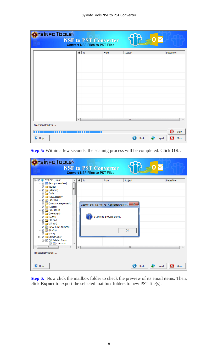| OYSINFO TOOLS      |                | <b>NSF to PST Converter</b><br><b>Convert NSF Files to PST Files</b> |              |        |           |
|--------------------|----------------|----------------------------------------------------------------------|--------------|--------|-----------|
|                    | $\theta$<br>To | From                                                                 | Subject      |        | Date/Time |
|                    |                |                                                                      |              |        |           |
|                    |                |                                                                      |              |        |           |
|                    |                |                                                                      |              |        |           |
|                    |                |                                                                      |              |        |           |
|                    |                |                                                                      |              |        |           |
|                    |                |                                                                      |              |        |           |
|                    |                |                                                                      |              |        |           |
|                    |                |                                                                      |              |        |           |
|                    |                |                                                                      |              |        |           |
|                    |                |                                                                      |              |        |           |
|                    |                |                                                                      |              |        |           |
|                    | $\overline{a}$ |                                                                      | $\mathbf{H}$ |        |           |
| Processing Folders |                |                                                                      |              |        |           |
|                    |                |                                                                      |              |        | Stop      |
| <b>O</b> Help      |                |                                                                      | Back         | Export | Close     |

**Step 5:** Within a few seconds, the scannig process will be completed. Click **OK** .

| YSÍNFO TOOLS                                                                                                                                                                                                                                                                                                                                                                                                                              |                               |   | <b>NSF to PST Converter</b><br><b>Convert NSF Files to PST Files</b>                 |                                      |           |
|-------------------------------------------------------------------------------------------------------------------------------------------------------------------------------------------------------------------------------------------------------------------------------------------------------------------------------------------------------------------------------------------------------------------------------------------|-------------------------------|---|--------------------------------------------------------------------------------------|--------------------------------------|-----------|
| 日··· 7 1 Test File (1).nsf<br>Group Calendars)<br>$\sqrt{2}$ (Rules)<br>V (\$Alarms)<br>$\overline{\vee}$ (\$All)<br>V (\$ByCategory)<br><b>■ ■ (\$Drafts)</b><br>(\$Inbox-Categorized1)<br>$\Box$ (\$Inbox)<br>. V na (\$JunkMail)<br>- √ <b>GSent</b> )<br>∙ <mark>⊽ ⊜</mark> (\$ToDo)<br><b>MAPIUseContacts</b><br>$\nabla$ $\nabla$ (Drafts)<br>$\Box$ $\Box$ (Sent)<br>in Villa Norman.Leer<br>d Deleted Items<br><b>VA</b> Contacts | Ξ<br>$\overline{\phantom{a}}$ |   | $0$ To<br>From<br>SysInfoTools NSF to PST Converter(Full) v<br>Scanning process done | Subject<br>$\mathbf{x}$<br><b>OK</b> | Date/Time |
| ∢<br>m.<br>r<br>Processing Finished<br>$\bigoplus$ Help                                                                                                                                                                                                                                                                                                                                                                                   |                               | ∢ |                                                                                      | m.<br>Export<br><b>Back</b>          | Close     |

**Step 6:** Now click the mailbox folder to check the preview of its email items. Then, click **Export** to export the selected mailbox folders to new PST file(s).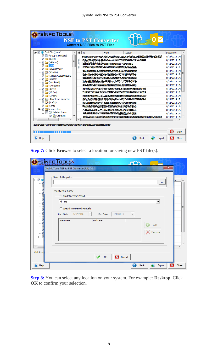| □ V iii Test File (1).nsf<br>Group Calendars)          | o<br>To | From                                           | Subject                                                                                                                                                                                                                          |                                                                                                                                                                                                                                   | Date/Time                      |
|--------------------------------------------------------|---------|------------------------------------------------|----------------------------------------------------------------------------------------------------------------------------------------------------------------------------------------------------------------------------------|-----------------------------------------------------------------------------------------------------------------------------------------------------------------------------------------------------------------------------------|--------------------------------|
| $\nabla$ (Rules)                                       | IJ      |                                                | A BARA A CARA DE LA CARA DE LA CARA DE LA CARA DE LA CARA DE LA CARA DE LA CARA DE LA CARA DE LA CARA DE LA CA                                                                                                                   |                                                                                                                                                                                                                                   | 8/11/2014 17:!                 |
| $\nabla$ (\$Alarms)                                    | 10      | to the transfer of the commission of the state |                                                                                                                                                                                                                                  |                                                                                                                                                                                                                                   | 8/11/2014 17:                  |
| $f(x)$ (sail)                                          | 101     |                                                | SHEAT SPORTS TO BE BEEN AS A STRAIGHT TO BE                                                                                                                                                                                      |                                                                                                                                                                                                                                   | 8/11/2014 17:                  |
| V <b>D</b> (\$ByCategory)                              |         |                                                | <b>あるとももまたので、そのようなことをすることをすることをすることをする。</b>                                                                                                                                                                                      |                                                                                                                                                                                                                                   | 8/11/2014 17:<br>8/11/2014 17: |
| V (\$Drafts)                                           |         |                                                | Report Contains and Post Containers and Containers and Containers and Containers and Containers and Containers                                                                                                                   |                                                                                                                                                                                                                                   | 8/11/2014 17:!                 |
| <b>V</b> GInbox-Categorized1)                          |         |                                                |                                                                                                                                                                                                                                  |                                                                                                                                                                                                                                   | 8/11/2014 17:                  |
| — <mark>⊽ ∏</mark> ञ्ज (\$Inbox)                       |         |                                                | <b>MANUSTANYA SA MENYENA MAZIKI SERENGEN</b>                                                                                                                                                                                     |                                                                                                                                                                                                                                   | 8/11/2014 17:                  |
| $\nabla$ (\$JunkMail)                                  |         |                                                | (《大学的学生》) 化分子反应 化自动电子 化分子 计分子                                                                                                                                                                                                    |                                                                                                                                                                                                                                   | 8/11/2014 17:                  |
| <b>JF</b> (\$Meetings)<br>… <mark>⊽ ∥ि</mark> (\$Sent) |         |                                                | TANDA SARA YA MARAYI YA MARAYI AMBAN ARABA A MARAYI YA TARA E                                                                                                                                                                    |                                                                                                                                                                                                                                   | 8/11/2014 17:                  |
|                                                        |         |                                                | A BARAN SAMA KAMA SA BARA SA TA TANGGAN SA TANGGAN SA TANGGAN SA TANGGAN SA TANGGAN SA TANGGAN SA TANGGAN SA T<br>Ang taon sa taon sa taon sa taon sa taon sa taon sa taon sa taon sa taon sa taon sa taon sa taon sa taon sa ta |                                                                                                                                                                                                                                   | 8/11/2014 17:                  |
| $\overline{\mathsf{v}}$ (\$Trash)                      |         |                                                |                                                                                                                                                                                                                                  |                                                                                                                                                                                                                                   | 8/11/2014 17:                  |
| MAPIUseContacts) <b>3 (\$MAPIUseContacts)</b>          |         |                                                | THE CONTRACTOR OF THE CONTRACTOR OF THE CONTRACTOR                                                                                                                                                                               |                                                                                                                                                                                                                                   | 8/11/2014 17:!                 |
|                                                        |         |                                                | NAMA BERTALAN ALAN SEBERAHAN TARAN KALEND                                                                                                                                                                                        |                                                                                                                                                                                                                                   | 8/11/2014 17:                  |
| V (Sent)                                               |         |                                                | ASSESSED TO THE CONTRACT OF THE CONTRACT AND THE                                                                                                                                                                                 |                                                                                                                                                                                                                                   | 8/11/2014 17:!                 |
| 白 V Norman.Leer                                        |         |                                                | An Andrew Corp. And An Ann An Ann an Ainmeil                                                                                                                                                                                     |                                                                                                                                                                                                                                   | 8/11/2014 17:                  |
| □ v o Deleted Items                                    |         |                                                | <b>MAADAMAG 457%AADAMAG AADAMAG 1000 AADAMAG</b>                                                                                                                                                                                 |                                                                                                                                                                                                                                   | 8/11/2014 17:!                 |
| <b>V</b> & Contacts                                    |         |                                                |                                                                                                                                                                                                                                  | SK TO PATRICIPAL PRODUCTION AND COMPANY OF THE CONTRACTOR OF THE CONTRACTOR OF THE CONTRACTOR OF THE CONTRACTOR<br>And the company of the contractor of the contractor of the contractor of the contractor of the contractor of t | 8/11/2014 17:!                 |
| Ш                                                      |         |                                                | ш                                                                                                                                                                                                                                |                                                                                                                                                                                                                                   |                                |

**Step 7:** Click **Browse** to select a location for saving new PST file(s).

|                                                        | <b>OYSINFO TOOLS</b><br>.000                                                                                                                                                                                                                                                                                                                                                                                                        |         |
|--------------------------------------------------------|-------------------------------------------------------------------------------------------------------------------------------------------------------------------------------------------------------------------------------------------------------------------------------------------------------------------------------------------------------------------------------------------------------------------------------------|---------|
| ⊟…Vijj<br>Ė.<br>$\overline{\mathcal{A}}$<br>Click Expd | $\mathbf x$<br>SysInfoTools NSF to PST Converter(Full) v1.0<br>Select folder path:<br>$\cdots$<br>Specify Date Range<br><sup>- C</sup> Predefine Time Period<br>All Time<br>$\blacktriangledown$<br>C Specify TimePeriod Manually<br>1/12/2016<br>1/12/2016<br><b>Start Date:</b><br>End Date:<br>$\overline{\nabla}$<br>$\overline{\phantom{a}}$<br><b>End Date</b><br><b>Start Date</b><br>Add<br>Remove<br>ОK<br><b>X</b> Cancel | he<br>Ξ |
| <b>O</b> Help                                          | ×<br>Back<br>Export                                                                                                                                                                                                                                                                                                                                                                                                                 | Close   |

**Step 8:** You can select any location on your system. For example: **Desktop**. Click **OK** to confirm your selection.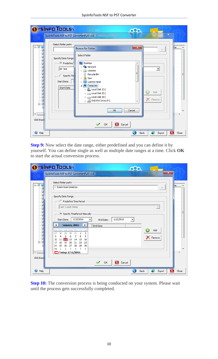|                                                        | <b>OYSINFO TOOLS</b><br>ഹ                                                                                                                                                                                                                                                                                                                                                                                                                                                                                                                                                                                                                                                                                                                                            |         |
|--------------------------------------------------------|----------------------------------------------------------------------------------------------------------------------------------------------------------------------------------------------------------------------------------------------------------------------------------------------------------------------------------------------------------------------------------------------------------------------------------------------------------------------------------------------------------------------------------------------------------------------------------------------------------------------------------------------------------------------------------------------------------------------------------------------------------------------|---------|
| ⊟∵⊽ ∯<br>Ė~⊽<br>$\overline{\phantom{a}}$<br>Click Expd | $\overline{\mathbf{x}}$<br>SysInfoTools NSF to PST Converter(Full) v1.0<br>Select folder path:<br>$\mathbf{x}$<br><b>Browse for Folder</b><br>$\mathbf{r}$<br>Select Folder<br>Specify Date Range<br>C Predefine 1<br>Desktop<br><b>Network</b><br>ь<br>All Time<br>▼<br>Libraries<br>Þ<br>Ξ<br>Recycle Bin<br>ø<br>Specify Tim<br>Sam<br>▷<br><b>Start Date:</b><br>Control Panel<br>$\triangleright$<br>Computer<br>◢<br><b>Start Date</b><br>$\triangleright$ $\mathbf{M}$ , Local Disk (C:)<br>Add<br>$\triangleright \ \text{mod}$ Local Disk (D:)<br>$\triangleright \ \textcolor{red}{\text{mod}}$ Local Disk (E:)<br>Remove<br>$\triangleright \ \ \bigoplus$ DVD RW Drive (F:)<br>$\overline{\phantom{a}}$<br>OK<br>Cancel<br>OK<br><b>X</b> Cancel<br>Sir. | he<br>Ξ |
| $\bigcirc$ Help                                        | ×<br><b>Back</b><br>Export                                                                                                                                                                                                                                                                                                                                                                                                                                                                                                                                                                                                                                                                                                                                           | Close   |

**Step 9:** Now select the date range, either predefined and you can define it by yourself. You can define single as well as multiple date ranges at a time. Click **OK** to start the actual conversion process.

|                 | YSÍNFO TOOLS<br>ഹ<br>$\mathbf{x}$<br>SysInfoTools NSF to PST Converter(Full) v1.0                                                                                                                                                                                                                                                                                                                                                                                                                                                                                                                                                                  |       |
|-----------------|----------------------------------------------------------------------------------------------------------------------------------------------------------------------------------------------------------------------------------------------------------------------------------------------------------------------------------------------------------------------------------------------------------------------------------------------------------------------------------------------------------------------------------------------------------------------------------------------------------------------------------------------------|-------|
| ⊟…⊠∲            | Select folder path:<br>C:\Users\Sam\Desktop<br>$\cdots$                                                                                                                                                                                                                                                                                                                                                                                                                                                                                                                                                                                            | ٦e    |
| ٠<br>Click Expd | Specify Date Range<br>C Predefine Time Period<br>Last 1 week Items<br>$\overline{\phantom{a}}$<br>Specify TimePeriod Manually<br>1/12/2016<br>1/12/2016<br><b>Start Date:</b><br>End Date:<br><b>January, 2016</b><br>¥.<br><b>End Date</b><br>Tue Wed Thu<br>Fri<br>Sat<br>Add<br>Sun<br>Mon<br>$\overline{2}$<br>27<br>28<br>29<br>30<br>31<br>1<br>9<br>3<br>5<br>6<br>8<br>7<br>4<br><b>X</b> Remove<br>16<br>13<br>15<br>10<br>11<br>CD.<br>14<br>19<br>20<br>18<br>23<br>17<br>21<br>22<br>25<br>26<br>29<br>30<br>27<br>28<br>24<br>3<br>5<br>6<br>2<br>4<br>31<br>1<br><b>○Today: 1/12/2016</b><br>OK<br>$\overline{\mathbf{x}}$<br>Cancel | Ξ     |
| <b>O</b> Help   | <b>Back</b><br>Export<br>×                                                                                                                                                                                                                                                                                                                                                                                                                                                                                                                                                                                                                         | Close |

**Step 10:** The conversion process is being conducted on your system. Please wait until the process gets successfully completed.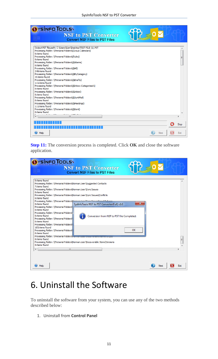| <b>YSÍNFO TOOLS\</b><br><b>NSF to PST Converter</b><br><b>Convert NSF Files to PST Files</b>                                                                                                                                                                                                                                                                                                                                                                                                                                                                                                                                                                                                                                                                                                                                                                                        |      |      |
|-------------------------------------------------------------------------------------------------------------------------------------------------------------------------------------------------------------------------------------------------------------------------------------------------------------------------------------------------------------------------------------------------------------------------------------------------------------------------------------------------------------------------------------------------------------------------------------------------------------------------------------------------------------------------------------------------------------------------------------------------------------------------------------------------------------------------------------------------------------------------------------|------|------|
| Output PST file path: C:\Users\Sam\Desktop\TEST FILE (1).PST<br>Processing folder: \\Personal Folders\(Group Calendars)<br>0:items found<br>Processing folder: \\Personal Folders\(Rules)<br>0:items found<br>Processing folder: \\Personal Folders\(\$Alarms)<br>0:items found<br>Processing folder: \\Personal Folders\(\$All)<br>248:items found<br>Processing folder: \\Personal Folders\(\$ByCategory)<br>20:items found<br>Processing folder: \\Personal Folders\(\$Drafts)<br>111:items found<br>Processing folder: \\Personal Folders\(\$Inbox-Categorized1)<br>0:items found<br>Processing folder: \\Personal Folders\(\$Inbox)<br><b>O:items found</b><br>Processing folder: \\Personal Folders\(\$JunkMail)<br>0:items found<br>Processing folder: \\Personal Folders\(\$Meetings)<br>111:items found<br>Processing folder: \\Personal Folders\(\$Sent)<br>0:items found |      |      |
| $172 - 63$<br>.<br>ш                                                                                                                                                                                                                                                                                                                                                                                                                                                                                                                                                                                                                                                                                                                                                                                                                                                                |      |      |
|                                                                                                                                                                                                                                                                                                                                                                                                                                                                                                                                                                                                                                                                                                                                                                                                                                                                                     |      | Stop |
| $\bigoplus$ Help                                                                                                                                                                                                                                                                                                                                                                                                                                                                                                                                                                                                                                                                                                                                                                                                                                                                    | Next | Exit |

**Step 11:** The conversion process is completed. Click **OK** and close the software application.

| <b>OYSINFO TOOLS</b><br><b>NSF to PST Converter</b><br><b>Convert NSF Files to PST Files</b>                                                                                                                                                                                                                                                                                                                                                                                                                                                                                                                                                                                                                                       |      |      |
|------------------------------------------------------------------------------------------------------------------------------------------------------------------------------------------------------------------------------------------------------------------------------------------------------------------------------------------------------------------------------------------------------------------------------------------------------------------------------------------------------------------------------------------------------------------------------------------------------------------------------------------------------------------------------------------------------------------------------------|------|------|
| 0:items found<br>Processing folder: \\Personal Folders\Norman.Leer\Suggested Contacts<br>7:items found<br>Processing folder: \\Personal Folders\Norman.Leer\Sync Issues<br>0:items found<br>Processing folder: \\Personal Folders\Norman.Leer\Sync Issues\Conflicts<br>0:items found<br>Processing folder: \\Personal Folders\\\perman_Look\\\per_Toquoo\\ ocal Eailusee<br>$\mathbf{x}$<br>0:items found<br>SysInfoTools NSF to PST Converter(Full) v1.0<br>Processing folder: \\Personal Folders\<br>0:items found<br>Processing folder: \\Personal Folders\<br>0:items found<br>Conversion from NSF to PST file Completed.<br>Processing folder: \\Personal Folders\<br>0:items found<br>Processing folder: \\Personal Folders\ |      |      |
| 185:items found<br>OK<br>Processing folder: \\Personal Folders\<br>0:items found<br>Processing folder: \\Personal Folders\<br>0:items found<br>Processing folder: \\Personal Folders\Norman.Leer\Recoverable Items\Versions<br><b>O:items found</b><br>$\overline{ }$<br>m.                                                                                                                                                                                                                                                                                                                                                                                                                                                        |      | E    |
| Help                                                                                                                                                                                                                                                                                                                                                                                                                                                                                                                                                                                                                                                                                                                               | Next | Exit |

### <span id="page-11-0"></span>6. Uninstall the Software

To uninstall the software from your system, you can use any of the two methods described below:

1. Uninstall from **Control Panel**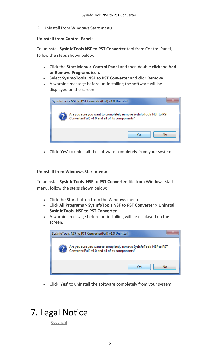2. Uninstall from **Windows Start menu**

#### **Uninstall from Control Panel:**

To uninstall **SysInfoTools NSF to PST Converter** tool from Control Panel, follow the steps shown below:

- Click the **Start Menu** > **Control Panel** and then double click the **Add or Remove Programs** icon.
- Select **SysInfoTools NSF to PST Converter** and click **Remove**.
- A warning message before un-installing the software will be displayed on the screen.



Click **'Yes'** to uninstall the software completely from your system.

#### **Uninstall from Windows Start menu:**

To uninstall **SysInfoTools NSF to PST Converter** file from Windows Start menu, follow the steps shown below:

- Click the **Start** button from the Windows menu.
- Click **All Programs** > **SysInfoTools NSF to PST Converter > Uninstall SysInfoTools NSF to PST Converter** .
- A warning message before un-installing will be displayed on the screen.



Click **'Yes'** to uninstall the software completely from your system.

### <span id="page-12-0"></span>7. Legal Notice

**[Copyright](#page-13-0)**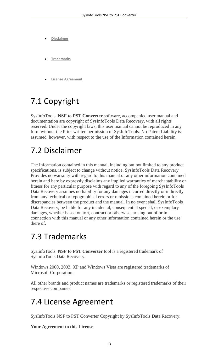- **[Disclaimer](#page-13-1)**
- **[Trademarks](#page-13-2)**
- **License [Agreement](#page-13-3)**

### <span id="page-13-0"></span>7.1 Copyright

SysInfoTools **NSF to PST Converter** software, accompanied user manual and documentation are copyright of SysInfoTools Data Recovery, with all rights reserved. Under the copyright laws, this user manual cannot be reproduced in any form without the Prior written permission of SysInfoTools. No Patent Liability is assumed, however, with respect to the use of the Information contained herein.

#### <span id="page-13-1"></span>7.2 Disclaimer

The Information contained in this manual, including but not limited to any product specifications, is subject to change without notice. SysInfoTools Data Recovery Provides no warranty with regard to this manual or any other information contained herein and here by expressly disclaims any implied warranties of merchantability or fitness for any particular purpose with regard to any of the foregoing SysInfoTools Data Recovery assumes no liability for any damages incurred directly or indirectly from any technical or typographical errors or omissions contained herein or for discrepancies between the product and the manual. In no event shall SysInfoTools Data Recovery, be liable for any incidental, consequential special, or exemplary damages, whether based on tort, contract or otherwise, arising out of or in connection with this manual or any other information contained herein or the use there of.

#### <span id="page-13-2"></span>7.3 Trademarks

SysInfoTools **NSF to PST Converter** tool is a registered trademark of SysInfoTools Data Recovery.

Windows 2000, 2003, XP and Windows Vista are registered trademarks of Microsoft Corporation.

All other brands and product names are trademarks or registered trademarks of their respective companies.

#### <span id="page-13-3"></span>7.4 License Agreement

SysInfoTools NSF to PST Converter Copyright by SysInfoTools Data Recovery.

#### **Your Agreement to this License**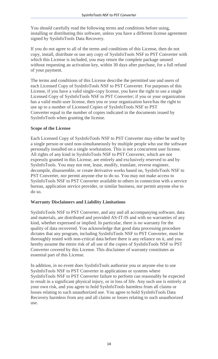You should carefully read the following terms and conditions before using, installing or distributing this software, unless you have a different license agreement signed by SysInfoTools Data Recovery.

If you do not agree to all of the terms and conditions of this License, then do not copy, install, distribute or use any copy of SysInfoTools NSF to PST Converter with which this License is included, you may return the complete package unused without requesting an activation key, within 30 days after purchase, for a full refund of your payment.

The terms and conditions of this License describe the permitted use and users of each Licensed Copy of SysInfoTools NSF to PST Converter. For purposes of this License, if you have a valid single-copy license, you have the right to use a single Licensed Copy of SysInfoTools NSF to PST Converter; if you or your organization has a valid multi-user license, then you or your organization have/has the right to use up to a number of Licensed Copies of SysInfoTools NSF to PST Converter equal to the number of copies indicated in the documents issued by SysInfoTools when granting the license.

#### **Scope of the License**

Each Licensed Copy of SysInfoTools NSF to PST Converter may either be used by a single person or used non-simultaneously by multiple people who use the software personally installed on a single workstation. This is not a concurrent user license. All rights of any kind in SysInfoTools NSF to PST Converter, which are not expressly granted in this License, are entirely and exclusively reserved to and by SysInfoTools. You may not rent, lease, modify, translate, reverse engineer, decompile, disassemble, or create derivative works based on, SysInfoTools NSF to PST Converter, nor permit anyone else to do so. You may not make access to SysInfoTools NSF to PST Converter available to others in connection with a service bureau, application service provider, or similar business, nor permit anyone else to do so.

#### **Warranty Disclaimers and Liability Limitations**

SysInfoTools NSF to PST Converter, and any and all accompanying software, data and materials, are distributed and provided AS-IT-IS and with no warranties of any kind, whether expressed or implied. In particular, there is no warranty for the quality of data recovered. You acknowledge that good data processing procedure dictates that any program, including SysInfoTools NSF to PST Converter, must be thoroughly tested with non-critical data before there is any reliance on it, and you hereby assume the entire risk of all use of the copies of SysInfoTools NSF to PST Converter covered by this License. This disclaimer of warranty constitutes an essential part of this License.

In addition, in no event does SysInfoTools authorize you or anyone else to use SysInfoTools NSF to PST Converter in applications or systems where SysInfoTools NSF to PST Converter failure to perform can reasonably be expected to result in a significant physical injury, or in loss of life. Any such use is entirely at your own risk, and you agree to hold SysInfoTools harmless from all claims or losses relating to such unauthorized use. You agree to hold SysInfoTools Data Recovery harmless from any and all claims or losses relating to such unauthorized use.